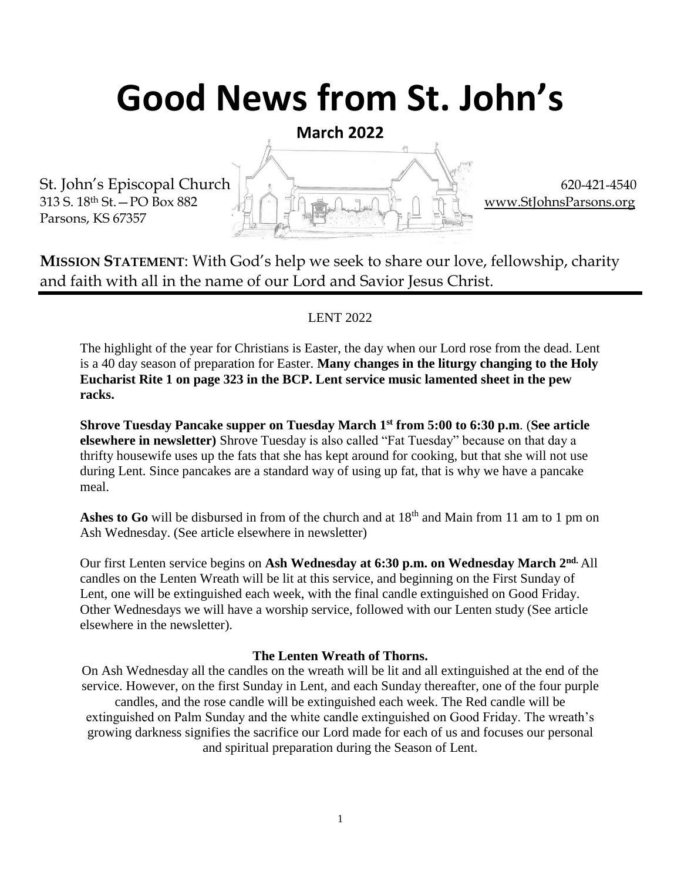# **Good News from St. John's**

**March 2022**

St. John's Episcopal Church  $\begin{bmatrix} 1 & 1 \end{bmatrix}$  620-421-4540 313 S. 18<sup>th</sup> St. – PO Box 882  $\Box$  in  $\Box$  in  $\Box$  in  $\Box$  in  $\Box$  in  $\Box$  in  $\Box$  [www.StJohnsParsons.org](http://www.stjohnsparsons.org/) Parsons, KS 67357

**MISSION STATEMENT**: With God's help we seek to share our love, fellowship, charity and faith with all in the name of our Lord and Savior Jesus Christ.

#### LENT 2022

The highlight of the year for Christians is Easter, the day when our Lord rose from the dead. Lent is a 40 day season of preparation for Easter. **Many changes in the liturgy changing to the Holy Eucharist Rite 1 on page 323 in the BCP. Lent service music lamented sheet in the pew racks.** 

**Shrove Tuesday Pancake supper on Tuesday March 1st from 5:00 to 6:30 p.m**. (**See article elsewhere in newsletter)** Shrove Tuesday is also called "Fat Tuesday" because on that day a thrifty housewife uses up the fats that she has kept around for cooking, but that she will not use during Lent. Since pancakes are a standard way of using up fat, that is why we have a pancake meal.

Ashes to Go will be disbursed in from of the church and at  $18<sup>th</sup>$  and Main from 11 am to 1 pm on Ash Wednesday. (See article elsewhere in newsletter)

Our first Lenten service begins on **Ash Wednesday at 6:30 p.m. on Wednesday March 2nd.** All candles on the Lenten Wreath will be lit at this service, and beginning on the First Sunday of Lent, one will be extinguished each week, with the final candle extinguished on Good Friday. Other Wednesdays we will have a worship service, followed with our Lenten study (See article elsewhere in the newsletter).

#### **The Lenten Wreath of Thorns.**

On Ash Wednesday all the candles on the wreath will be lit and all extinguished at the end of the service. However, on the first Sunday in Lent, and each Sunday thereafter, one of the four purple candles, and the rose candle will be extinguished each week. The Red candle will be extinguished on Palm Sunday and the white candle extinguished on Good Friday. The wreath's growing darkness signifies the sacrifice our Lord made for each of us and focuses our personal and spiritual preparation during the Season of Lent.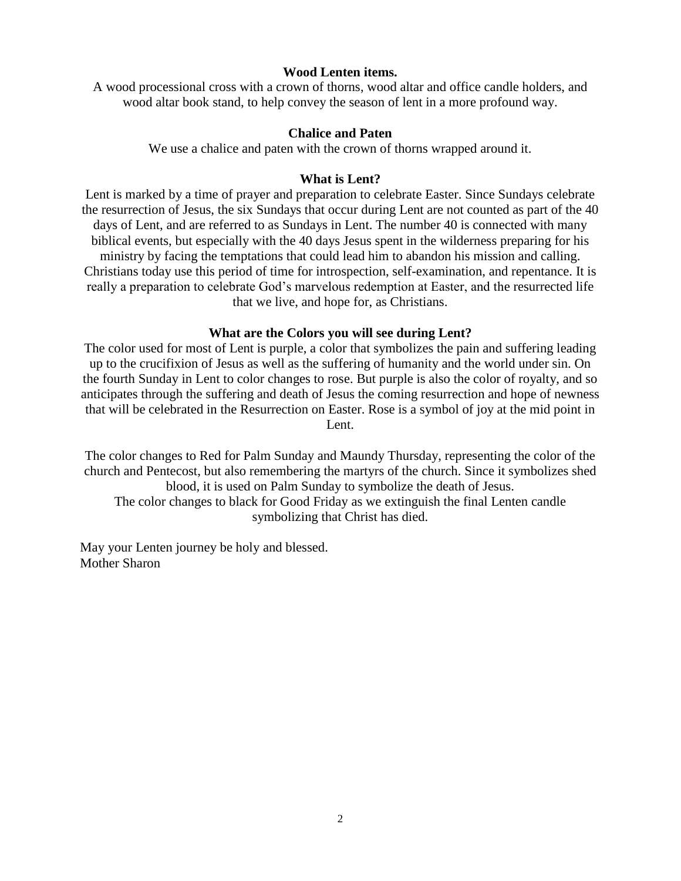#### **Wood Lenten items.**

A wood processional cross with a crown of thorns, wood altar and office candle holders, and wood altar book stand, to help convey the season of lent in a more profound way.

#### **Chalice and Paten**

We use a chalice and paten with the crown of thorns wrapped around it.

#### **What is Lent?**

Lent is marked by a time of prayer and preparation to celebrate Easter. Since Sundays celebrate the resurrection of Jesus, the six Sundays that occur during Lent are not counted as part of the 40 days of Lent, and are referred to as Sundays in Lent. The number 40 is connected with many biblical events, but especially with the 40 days Jesus spent in the wilderness preparing for his ministry by facing the temptations that could lead him to abandon his mission and calling. Christians today use this period of time for introspection, self-examination, and repentance. It is really a preparation to celebrate God's marvelous redemption at Easter, and the resurrected life that we live, and hope for, as Christians.

#### **What are the Colors you will see during Lent?**

The color used for most of Lent is purple, a color that symbolizes the pain and suffering leading up to the crucifixion of Jesus as well as the suffering of humanity and the world under sin. On the fourth Sunday in Lent to color changes to rose. But purple is also the color of royalty, and so anticipates through the suffering and death of Jesus the coming resurrection and hope of newness that will be celebrated in the Resurrection on Easter. Rose is a symbol of joy at the mid point in Lent.

The color changes to Red for Palm Sunday and Maundy Thursday, representing the color of the church and Pentecost, but also remembering the martyrs of the church. Since it symbolizes shed blood, it is used on Palm Sunday to symbolize the death of Jesus. The color changes to black for Good Friday as we extinguish the final Lenten candle symbolizing that Christ has died.

May your Lenten journey be holy and blessed. Mother Sharon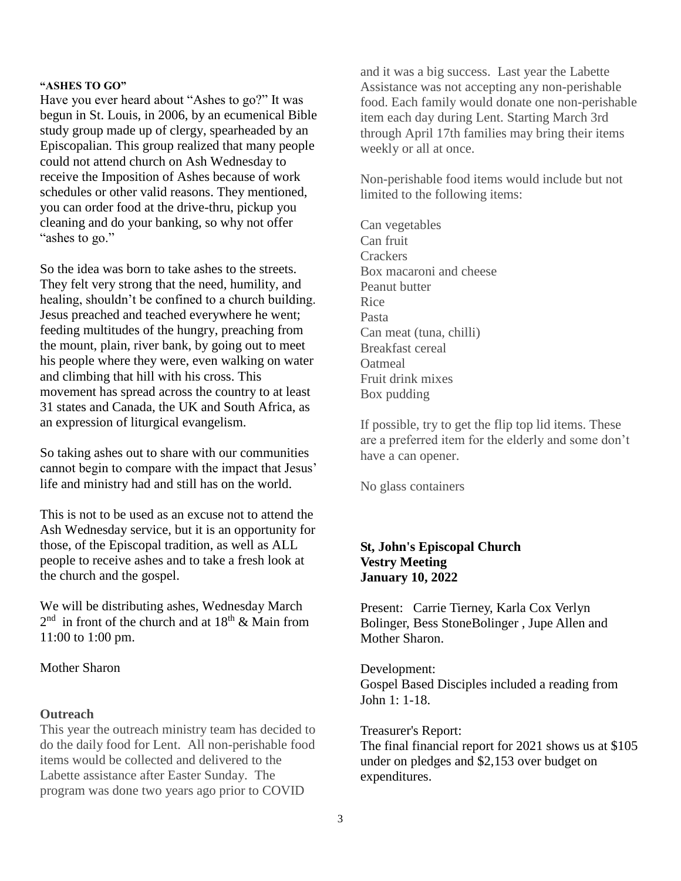#### **"ASHES TO GO"**

Have you ever heard about "Ashes to go?" It was begun in St. Louis, in 2006, by an ecumenical Bible study group made up of clergy, spearheaded by an Episcopalian. This group realized that many people could not attend church on Ash Wednesday to receive the Imposition of Ashes because of work schedules or other valid reasons. They mentioned, you can order food at the drive-thru, pickup you cleaning and do your banking, so why not offer "ashes to go."

So the idea was born to take ashes to the streets. They felt very strong that the need, humility, and healing, shouldn't be confined to a church building. Jesus preached and teached everywhere he went; feeding multitudes of the hungry, preaching from the mount, plain, river bank, by going out to meet his people where they were, even walking on water and climbing that hill with his cross. This movement has spread across the country to at least 31 states and Canada, the UK and South Africa, as an expression of liturgical evangelism.

So taking ashes out to share with our communities cannot begin to compare with the impact that Jesus' life and ministry had and still has on the world.

This is not to be used as an excuse not to attend the Ash Wednesday service, but it is an opportunity for those, of the Episcopal tradition, as well as ALL people to receive ashes and to take a fresh look at the church and the gospel.

We will be distributing ashes, Wednesday March  $2<sup>nd</sup>$  in front of the church and at  $18<sup>th</sup>$  & Main from 11:00 to 1:00 pm.

#### Mother Sharon

#### **Outreach**

This year the outreach ministry team has decided to do the daily food for Lent. All non-perishable food items would be collected and delivered to the Labette assistance after Easter Sunday. The program was done two years ago prior to COVID

and it was a big success. Last year the Labette Assistance was not accepting any non-perishable food. Each family would donate one non-perishable item each day during Lent. Starting March 3rd through April 17th families may bring their items weekly or all at once.

Non-perishable food items would include but not limited to the following items:

Can vegetables Can fruit **Crackers** Box macaroni and cheese Peanut butter Rice Pasta Can meat (tuna, chilli) Breakfast cereal **O**atmeal Fruit drink mixes Box pudding

If possible, try to get the flip top lid items. These are a preferred item for the elderly and some don't have a can opener.

No glass containers

#### **St, John's Episcopal Church Vestry Meeting January 10, 2022**

Present: Carrie Tierney, Karla Cox Verlyn Bolinger, Bess StoneBolinger , Jupe Allen and Mother Sharon.

Development: Gospel Based Disciples included a reading from John 1: 1-18.

#### Treasurer's Report:

The final financial report for 2021 shows us at \$105 under on pledges and \$2,153 over budget on expenditures.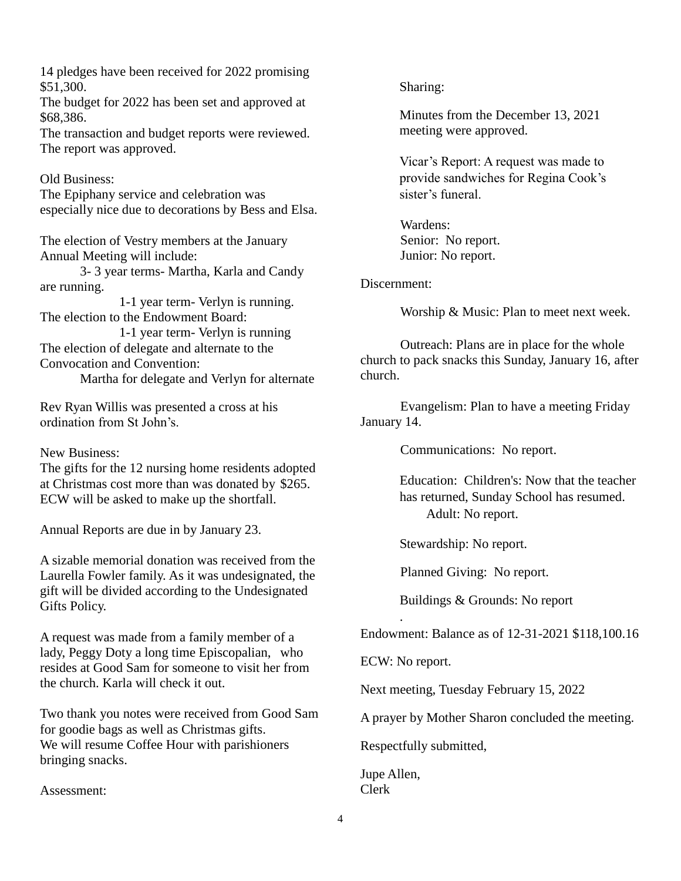14 pledges have been received for 2022 promising \$51,300.

The budget for 2022 has been set and approved at \$68,386.

The transaction and budget reports were reviewed. The report was approved.

Old Business:

The Epiphany service and celebration was especially nice due to decorations by Bess and Elsa.

The election of Vestry members at the January Annual Meeting will include:

3- 3 year terms- Martha, Karla and Candy are running.

1-1 year term- Verlyn is running. The election to the Endowment Board:

1-1 year term- Verlyn is running The election of delegate and alternate to the Convocation and Convention:

Martha for delegate and Verlyn for alternate

Rev Ryan Willis was presented a cross at his ordination from St John's.

New Business:

The gifts for the 12 nursing home residents adopted at Christmas cost more than was donated by \$265. ECW will be asked to make up the shortfall.

Annual Reports are due in by January 23.

A sizable memorial donation was received from the Laurella Fowler family. As it was undesignated, the gift will be divided according to the Undesignated Gifts Policy.

A request was made from a family member of a lady, Peggy Doty a long time Episcopalian, who resides at Good Sam for someone to visit her from the church. Karla will check it out.

Two thank you notes were received from Good Sam for goodie bags as well as Christmas gifts. We will resume Coffee Hour with parishioners bringing snacks.

Assessment:

Sharing:

Minutes from the December 13, 2021 meeting were approved.

Vicar's Report: A request was made to provide sandwiches for Regina Cook's sister's funeral.

Wardens: Senior: No report. Junior: No report.

#### Discernment:

Worship & Music: Plan to meet next week.

Outreach: Plans are in place for the whole church to pack snacks this Sunday, January 16, after church.

Evangelism: Plan to have a meeting Friday January 14.

Communications: No report.

Education: Children's: Now that the teacher has returned, Sunday School has resumed. Adult: No report.

Stewardship: No report.

Planned Giving: No report.

Buildings & Grounds: No report

Endowment: Balance as of 12-31-2021 \$118,100.16

ECW: No report.

.

Next meeting, Tuesday February 15, 2022

A prayer by Mother Sharon concluded the meeting.

Respectfully submitted,

Jupe Allen, Clerk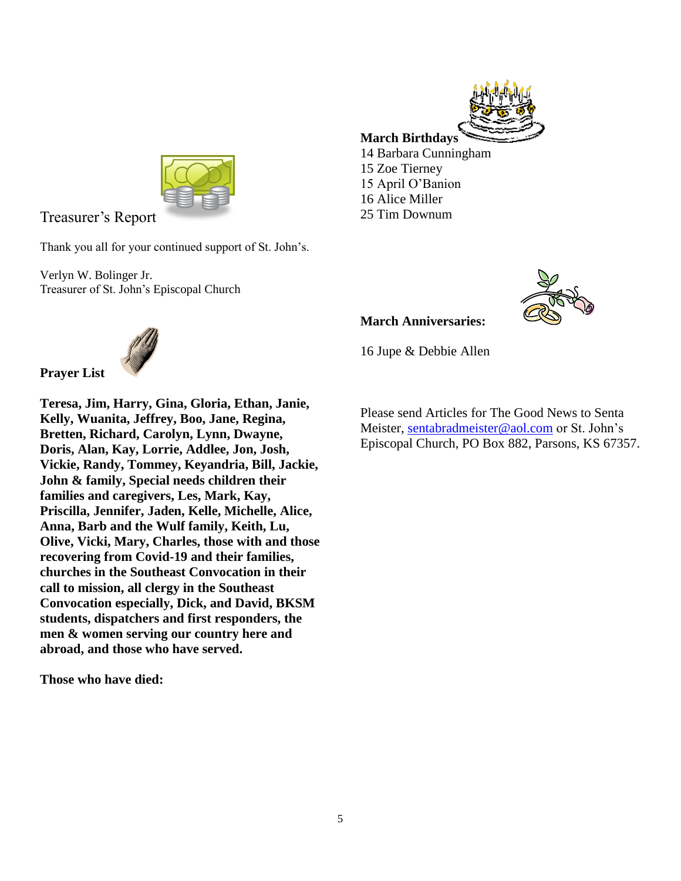

Treasurer's Report

Thank you all for your continued support of St. John's.

Verlyn W. Bolinger Jr. Treasurer of St. John's Episcopal Church





### **March Anniversaries:**

16 Jupe & Debbie Allen

Please send Articles for The Good News to Senta Meister, [sentabradmeister@aol.com](mailto:sentabradmeister@aol.com) or St. John's Episcopal Church, PO Box 882, Parsons, KS 67357.



**Prayer List Teresa, Jim, Harry, Gina, Gloria, Ethan, Janie, Kelly, Wuanita, Jeffrey, Boo, Jane, Regina, Bretten, Richard, Carolyn, Lynn, Dwayne, Doris, Alan, Kay, Lorrie, Addlee, Jon, Josh, Vickie, Randy, Tommey, Keyandria, Bill, Jackie, John & family, Special needs children their families and caregivers, Les, Mark, Kay, Priscilla, Jennifer, Jaden, Kelle, Michelle, Alice, Anna, Barb and the Wulf family, Keith, Lu, Olive, Vicki, Mary, Charles, those with and those recovering from Covid-19 and their families, churches in the Southeast Convocation in their call to mission, all clergy in the Southeast Convocation especially, Dick, and David, BKSM students, dispatchers and first responders, the men & women serving our country here and abroad, and those who have served.**

**Those who have died:**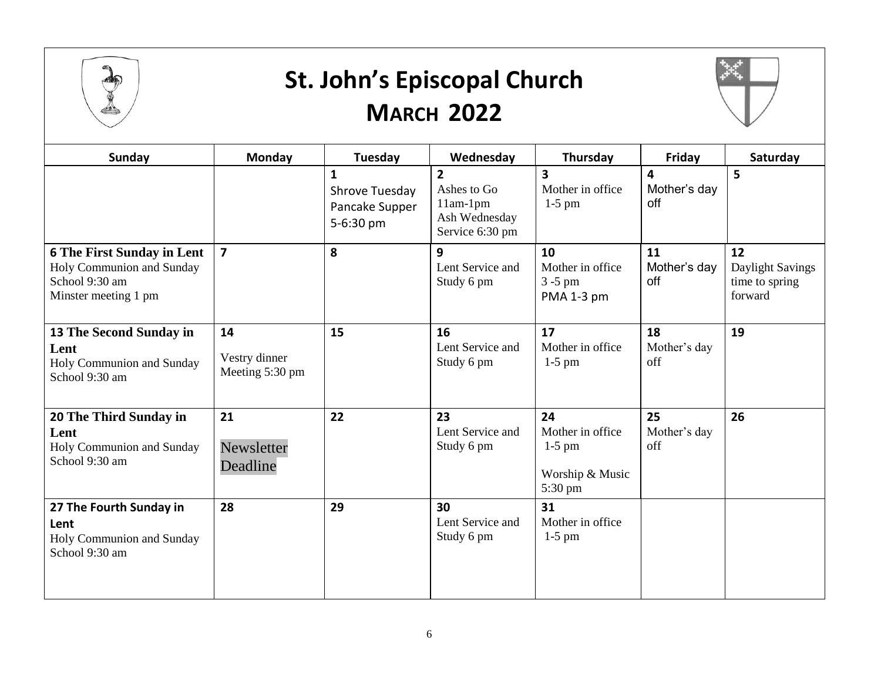

### **St. John's Episcopal Church MARCH 2022**



| Sunday                                                                                                   | Monday                                 | Tuesday                                                       | Wednesday                                                                       | Thursday                                                         | Friday                    | Saturday                                            |
|----------------------------------------------------------------------------------------------------------|----------------------------------------|---------------------------------------------------------------|---------------------------------------------------------------------------------|------------------------------------------------------------------|---------------------------|-----------------------------------------------------|
|                                                                                                          |                                        | $\mathbf{1}$<br>Shrove Tuesday<br>Pancake Supper<br>5-6:30 pm | $\overline{2}$<br>Ashes to Go<br>$11am-1pm$<br>Ash Wednesday<br>Service 6:30 pm | 3<br>Mother in office<br>$1-5$ pm                                | 4<br>Mother's day<br>off  | 5                                                   |
| <b>6 The First Sunday in Lent</b><br>Holy Communion and Sunday<br>School 9:30 am<br>Minster meeting 1 pm | $\overline{7}$                         | 8                                                             | 9<br>Lent Service and<br>Study 6 pm                                             | 10<br>Mother in office<br>$3 - 5$ pm<br>PMA 1-3 pm               | 11<br>Mother's day<br>off | 12<br>Daylight Savings<br>time to spring<br>forward |
| 13 The Second Sunday in<br>Lent<br>Holy Communion and Sunday<br>School 9:30 am                           | 14<br>Vestry dinner<br>Meeting 5:30 pm | 15                                                            | 16<br>Lent Service and<br>Study 6 pm                                            | 17<br>Mother in office<br>$1-5$ pm                               | 18<br>Mother's day<br>off | 19                                                  |
| 20 The Third Sunday in<br>Lent<br>Holy Communion and Sunday<br>School 9:30 am                            | 21<br>Newsletter<br>Deadline           | 22                                                            | 23<br>Lent Service and<br>Study 6 pm                                            | 24<br>Mother in office<br>$1-5$ pm<br>Worship & Music<br>5:30 pm | 25<br>Mother's day<br>off | 26                                                  |
| 27 The Fourth Sunday in<br>Lent<br>Holy Communion and Sunday<br>School 9:30 am                           | 28                                     | 29                                                            | 30<br>Lent Service and<br>Study 6 pm                                            | 31<br>Mother in office<br>$1-5$ pm                               |                           |                                                     |